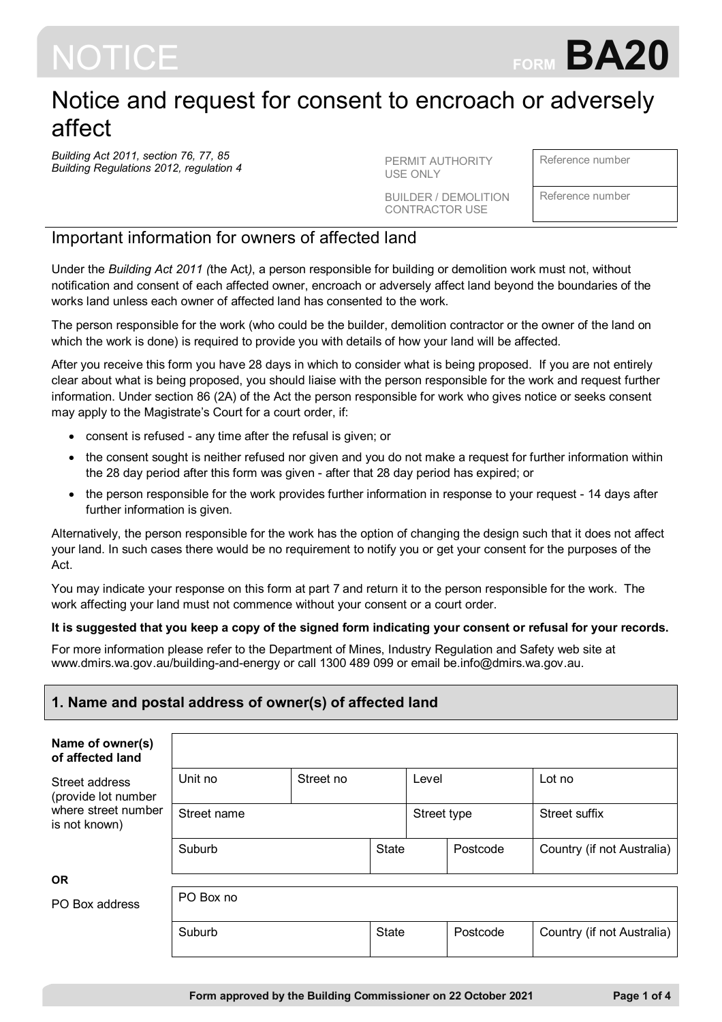

# Notice and request for consent to encroach or adversely affect

*Building Act 2011, section 76, 77, 85 Building Regulations 2012, regulation 4* PERMIT AUTHORITY

USE ONLY

BUILDER / DEMOLITION CONTRACTOR USE

Reference number

Reference number

# Important information for owners of affected land

Under the *Building Act 2011 (*the Act*)*, a person responsible for building or demolition work must not, without notification and consent of each affected owner, encroach or adversely affect land beyond the boundaries of the works land unless each owner of affected land has consented to the work.

The person responsible for the work (who could be the builder, demolition contractor or the owner of the land on which the work is done) is required to provide you with details of how your land will be affected.

After you receive this form you have 28 days in which to consider what is being proposed. If you are not entirely clear about what is being proposed, you should liaise with the person responsible for the work and request further information. Under section 86 (2A) of the Act the person responsible for work who gives notice or seeks consent may apply to the Magistrate's Court for a court order, if:

- consent is refused any time after the refusal is given; or
- the consent sought is neither refused nor given and you do not make a request for further information within the 28 day period after this form was given - after that 28 day period has expired; or
- the person responsible for the work provides further information in response to your request 14 days after further information is given.

Alternatively, the person responsible for the work has the option of changing the design such that it does not affect your land. In such cases there would be no requirement to notify you or get your consent for the purposes of the Act.

You may indicate your response on this form at part 7 and return it to the person responsible for the work. The work affecting your land must not commence without your consent or a court order.

#### **It is suggested that you keep a copy of the signed form indicating your consent or refusal for your records.**

For more information please refer to the Department of Mines, Industry Regulation and Safety web site at www.dmirs.wa.gov.au/building-and-energy or call 1300 489 099 or email be.info@dmirs.wa.gov.au.

# **1. Name and postal address of owner(s) of affected land**

| Name of owner(s)<br>of affected land  |                      |  |              |             |          |                            |
|---------------------------------------|----------------------|--|--------------|-------------|----------|----------------------------|
| Street address<br>(provide lot number | Unit no<br>Street no |  |              | Level       |          | Lot no                     |
| where street number<br>is not known)  | Street name          |  |              | Street type |          | Street suffix              |
|                                       | Suburb               |  | <b>State</b> |             | Postcode | Country (if not Australia) |
| <b>OR</b>                             |                      |  |              |             |          |                            |
| PO Box address                        | PO Box no            |  |              |             |          |                            |
|                                       | Suburb               |  | <b>State</b> |             | Postcode | Country (if not Australia) |
|                                       |                      |  |              |             |          |                            |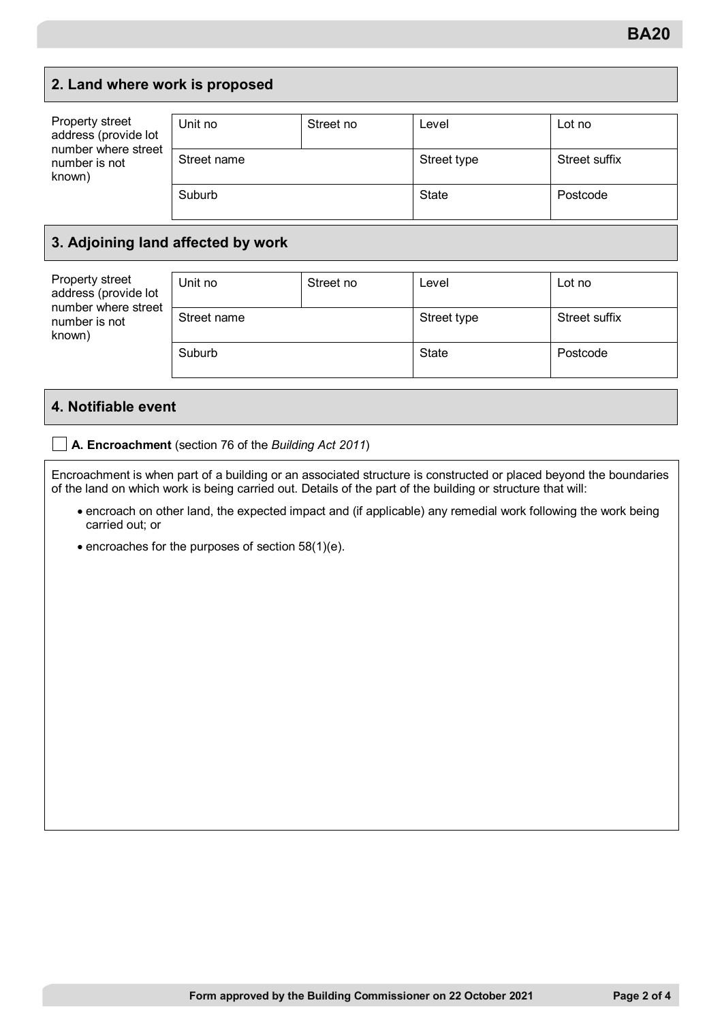# **2. Land where work is proposed**

| Property street<br>address (provide lot<br>number where street<br>number is not<br>known) | Unit no     | Street no    | Level       | Lot no        |
|-------------------------------------------------------------------------------------------|-------------|--------------|-------------|---------------|
|                                                                                           | Street name |              | Street type | Street suffix |
| Suburb                                                                                    |             | <b>State</b> | Postcode    |               |

### **3. Adjoining land affected by work**

| Property street<br>address (provide lot<br>number where street<br>number is not<br>known) | Unit no     | Street no    | Level       | Lot no        |
|-------------------------------------------------------------------------------------------|-------------|--------------|-------------|---------------|
|                                                                                           | Street name |              | Street type | Street suffix |
| Suburb                                                                                    |             | <b>State</b> | Postcode    |               |

#### **4. Notifiable event**

**A. Encroachment** (section 76 of the *Building Act 2011*)

Encroachment is when part of a building or an associated structure is constructed or placed beyond the boundaries of the land on which work is being carried out. Details of the part of the building or structure that will:

- encroach on other land, the expected impact and (if applicable) any remedial work following the work being carried out; or
- encroaches for the purposes of section 58(1)(e).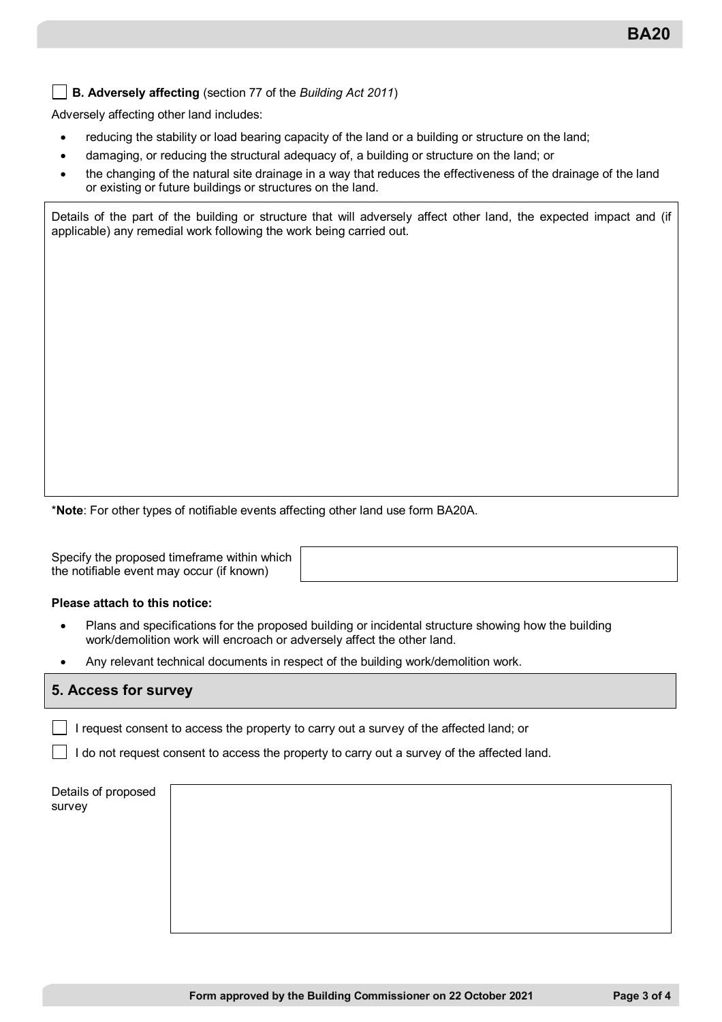**B. Adversely affecting** (section 77 of the *Building Act 2011*)

Adversely affecting other land includes:

- reducing the stability or load bearing capacity of the land or a building or structure on the land;
- damaging, or reducing the structural adequacy of, a building or structure on the land; or
- the changing of the natural site drainage in a way that reduces the effectiveness of the drainage of the land or existing or future buildings or structures on the land.

Details of the part of the building or structure that will adversely affect other land, the expected impact and (if applicable) any remedial work following the work being carried out.

\***Note**: For other types of notifiable events affecting other land use form BA20A.

Specify the proposed timeframe within which the notifiable event may occur (if known)

#### **Please attach to this notice:**

- Plans and specifications for the proposed building or incidental structure showing how the building work/demolition work will encroach or adversely affect the other land.
- Any relevant technical documents in respect of the building work/demolition work.

#### **5. Access for survey**

I request consent to access the property to carry out a survey of the affected land; or

I do not request consent to access the property to carry out a survey of the affected land.

| Details of proposed<br>survey |  |  |
|-------------------------------|--|--|
|                               |  |  |
|                               |  |  |
|                               |  |  |
|                               |  |  |